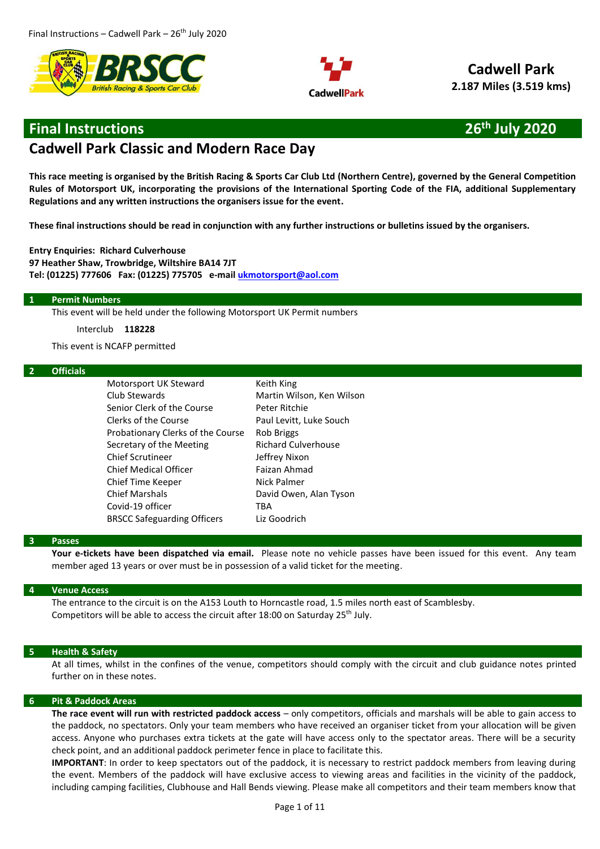



**Cadwell Park 2.187 Miles (3.519 kms)**

# **Final Instructions 26th July 2020**

# **Cadwell Park Classic and Modern Race Day**

**This race meeting is organised by the British Racing & Sports Car Club Ltd (Northern Centre), governed by the General Competition Rules of Motorsport UK, incorporating the provisions of the International Sporting Code of the FIA, additional Supplementary Regulations and any written instructions the organisers issue for the event.** 

**These final instructions should be read in conjunction with any further instructions or bulletins issued by the organisers.**

**Entry Enquiries: Richard Culverhouse 97 Heather Shaw, Trowbridge, Wiltshire BA14 7JT Tel: (01225) 777606 Fax: (01225) 775705 e-mail [ukmotorsport@aol.com](mailto:ukmotorsport@aol.com)**

#### **1 Permit Numbers**

This event will be held under the following Motorsport UK Permit numbers

Interclub **118228**

This event is NCAFP permitted

#### **2 Officials**

Motorsport UK Steward Keith King Club Stewards **Martin Wilson**, Ken Wilson Senior Clerk of the Course **Peter Ritchie** Clerks of the Course Paul Levitt, Luke Souch Probationary Clerks of the Course Rob Briggs Secretary of the Meeting Richard Culverhouse Chief Scrutineer **Jeffrey Nixon** Chief Medical Officer Faizan Ahmad Chief Time Keeper Nick Palmer Chief Marshals Covid-19 officer David Owen, Alan Tyson **TRA** BRSCC Safeguarding Officers Liz Goodrich

#### **3 Passes**

**Your e-tickets have been dispatched via email.** Please note no vehicle passes have been issued for this event. Any team member aged 13 years or over must be in possession of a valid ticket for the meeting.

# **4 Venue Access**

The entrance to the circuit is on the A153 Louth to Horncastle road, 1.5 miles north east of Scamblesby. Competitors will be able to access the circuit after 18:00 on Saturday 25<sup>th</sup> July.

#### **5 Health & Safety**

At all times, whilst in the confines of the venue, competitors should comply with the circuit and club guidance notes printed further on in these notes.

#### **6 Pit & Paddock Areas**

**The race event will run with restricted paddock access** – only competitors, officials and marshals will be able to gain access to the paddock, no spectators. Only your team members who have received an organiser ticket from your allocation will be given access. Anyone who purchases extra tickets at the gate will have access only to the spectator areas. There will be a security check point, and an additional paddock perimeter fence in place to facilitate this.

**IMPORTANT**: In order to keep spectators out of the paddock, it is necessary to restrict paddock members from leaving during the event. Members of the paddock will have exclusive access to viewing areas and facilities in the vicinity of the paddock, including camping facilities, Clubhouse and Hall Bends viewing. Please make all competitors and their team members know that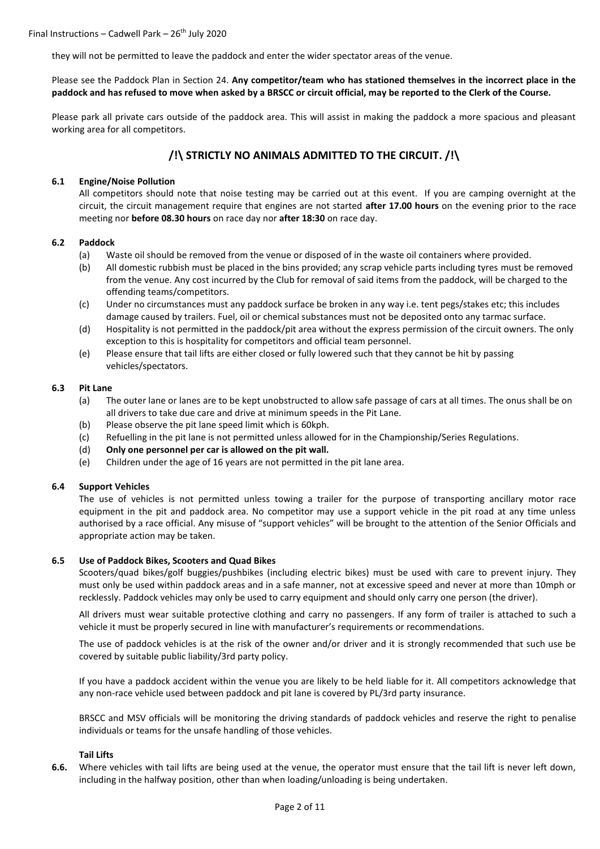they will not be permitted to leave the paddock and enter the wider spectator areas of the venue.

# Please see the Paddock Plan in Section 24. **Any competitor/team who has stationed themselves in the incorrect place in the paddock and has refused to move when asked by a BRSCC or circuit official, may be reported to the Clerk of the Course.**

Please park all private cars outside of the paddock area. This will assist in making the paddock a more spacious and pleasant working area for all competitors.

# **/!\ STRICTLY NO ANIMALS ADMITTED TO THE CIRCUIT. /!\**

# **6.1 Engine/Noise Pollution**

All competitors should note that noise testing may be carried out at this event. If you are camping overnight at the circuit, the circuit management require that engines are not started **after 17.00 hours** on the evening prior to the race meeting nor **before 08.30 hours** on race day nor **after 18:30** on race day.

# **6.2 Paddock**

- (a) Waste oil should be removed from the venue or disposed of in the waste oil containers where provided.
- (b) All domestic rubbish must be placed in the bins provided; any scrap vehicle parts including tyres must be removed from the venue. Any cost incurred by the Club for removal of said items from the paddock, will be charged to the offending teams/competitors.
- (c) Under no circumstances must any paddock surface be broken in any way i.e. tent pegs/stakes etc; this includes damage caused by trailers. Fuel, oil or chemical substances must not be deposited onto any tarmac surface.
- (d) Hospitality is not permitted in the paddock/pit area without the express permission of the circuit owners. The only exception to this is hospitality for competitors and official team personnel.
- (e) Please ensure that tail lifts are either closed or fully lowered such that they cannot be hit by passing vehicles/spectators.

#### **6.3 Pit Lane**

- (a) The outer lane or lanes are to be kept unobstructed to allow safe passage of cars at all times. The onus shall be on all drivers to take due care and drive at minimum speeds in the Pit Lane.
- (b) Please observe the pit lane speed limit which is 60kph.
- (c) Refuelling in the pit lane is not permitted unless allowed for in the Championship/Series Regulations.
- (d) **Only one personnel per car is allowed on the pit wall.**
- (e) Children under the age of 16 years are not permitted in the pit lane area.

# **6.4 Support Vehicles**

The use of vehicles is not permitted unless towing a trailer for the purpose of transporting ancillary motor race equipment in the pit and paddock area. No competitor may use a support vehicle in the pit road at any time unless authorised by a race official. Any misuse of "support vehicles" will be brought to the attention of the Senior Officials and appropriate action may be taken.

#### **6.5 Use of Paddock Bikes, Scooters and Quad Bikes**

Scooters/quad bikes/golf buggies/pushbikes (including electric bikes) must be used with care to prevent injury. They must only be used within paddock areas and in a safe manner, not at excessive speed and never at more than 10mph or recklessly. Paddock vehicles may only be used to carry equipment and should only carry one person (the driver).

All drivers must wear suitable protective clothing and carry no passengers. If any form of trailer is attached to such a vehicle it must be properly secured in line with manufacturer's requirements or recommendations.

The use of paddock vehicles is at the risk of the owner and/or driver and it is strongly recommended that such use be covered by suitable public liability/3rd party policy.

If you have a paddock accident within the venue you are likely to be held liable for it. All competitors acknowledge that any non-race vehicle used between paddock and pit lane is covered by PL/3rd party insurance.

BRSCC and MSV officials will be monitoring the driving standards of paddock vehicles and reserve the right to penalise individuals or teams for the unsafe handling of those vehicles.

#### **Tail Lifts**

**6.6.** Where vehicles with tail lifts are being used at the venue, the operator must ensure that the tail lift is never left down, including in the halfway position, other than when loading/unloading is being undertaken.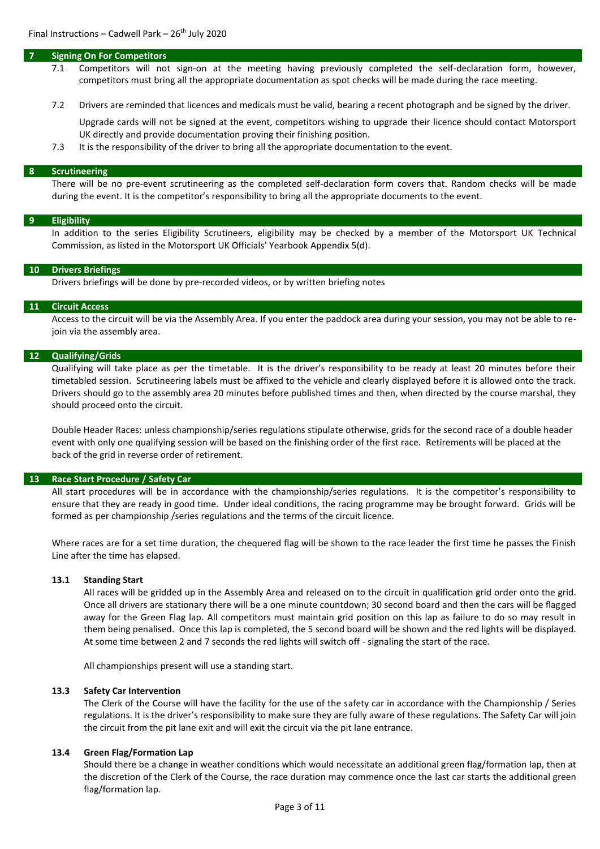#### **7 Signing On For Competitors**

- 7.1 Competitors will not sign-on at the meeting having previously completed the self-declaration form, however, competitors must bring all the appropriate documentation as spot checks will be made during the race meeting.
- 7.2 Drivers are reminded that licences and medicals must be valid, bearing a recent photograph and be signed by the driver.

Upgrade cards will not be signed at the event, competitors wishing to upgrade their licence should contact Motorsport UK directly and provide documentation proving their finishing position.

7.3 It is the responsibility of the driver to bring all the appropriate documentation to the event.

#### **8 Scrutineering**

There will be no pre-event scrutineering as the completed self-declaration form covers that. Random checks will be made during the event. It is the competitor's responsibility to bring all the appropriate documents to the event.

#### **9 Eligibility**

In addition to the series Eligibility Scrutineers, eligibility may be checked by a member of the Motorsport UK Technical Commission, as listed in the Motorsport UK Officials' Yearbook Appendix 5(d).

#### **10 Drivers Briefings**

Drivers briefings will be done by pre-recorded videos, or by written briefing notes

#### **11 Circuit Access**

Access to the circuit will be via the Assembly Area. If you enter the paddock area during your session, you may not be able to rejoin via the assembly area.

#### **12 Qualifying/Grids**

Qualifying will take place as per the timetable. It is the driver's responsibility to be ready at least 20 minutes before their timetabled session. Scrutineering labels must be affixed to the vehicle and clearly displayed before it is allowed onto the track. Drivers should go to the assembly area 20 minutes before published times and then, when directed by the course marshal, they should proceed onto the circuit.

Double Header Races: unless championship/series regulations stipulate otherwise, grids for the second race of a double header event with only one qualifying session will be based on the finishing order of the first race. Retirements will be placed at the back of the grid in reverse order of retirement.

#### **13 Race Start Procedure / Safety Car**

All start procedures will be in accordance with the championship/series regulations. It is the competitor's responsibility to ensure that they are ready in good time. Under ideal conditions, the racing programme may be brought forward. Grids will be formed as per championship /series regulations and the terms of the circuit licence.

Where races are for a set time duration, the chequered flag will be shown to the race leader the first time he passes the Finish Line after the time has elapsed.

# **13.1 Standing Start**

All races will be gridded up in the Assembly Area and released on to the circuit in qualification grid order onto the grid. Once all drivers are stationary there will be a one minute countdown; 30 second board and then the cars will be flagged away for the Green Flag lap. All competitors must maintain grid position on this lap as failure to do so may result in them being penalised. Once this lap is completed, the 5 second board will be shown and the red lights will be displayed. At some time between 2 and 7 seconds the red lights will switch off - signaling the start of the race.

All championships present will use a standing start.

#### **13.3 Safety Car Intervention**

The Clerk of the Course will have the facility for the use of the safety car in accordance with the Championship / Series regulations. It is the driver's responsibility to make sure they are fully aware of these regulations. The Safety Car will join the circuit from the pit lane exit and will exit the circuit via the pit lane entrance.

#### **13.4 Green Flag/Formation Lap**

Should there be a change in weather conditions which would necessitate an additional green flag/formation lap, then at the discretion of the Clerk of the Course, the race duration may commence once the last car starts the additional green flag/formation lap.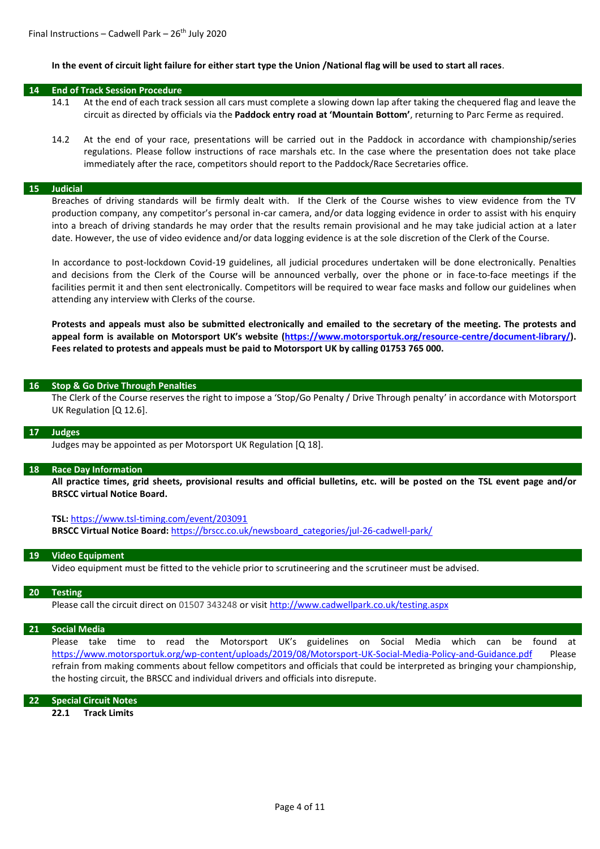#### **In the event of circuit light failure for either start type the Union /National flag will be used to start all races**.

#### **14 End of Track Session Procedure**

- 14.1 At the end of each track session all cars must complete a slowing down lap after taking the chequered flag and leave the circuit as directed by officials via the **Paddock entry road at 'Mountain Bottom'**, returning to Parc Ferme as required.
- 14.2 At the end of your race, presentations will be carried out in the Paddock in accordance with championship/series regulations. Please follow instructions of race marshals etc. In the case where the presentation does not take place immediately after the race, competitors should report to the Paddock/Race Secretaries office.

#### **15 Judicial**

Breaches of driving standards will be firmly dealt with. If the Clerk of the Course wishes to view evidence from the TV production company, any competitor's personal in-car camera, and/or data logging evidence in order to assist with his enquiry into a breach of driving standards he may order that the results remain provisional and he may take judicial action at a later date. However, the use of video evidence and/or data logging evidence is at the sole discretion of the Clerk of the Course.

In accordance to post-lockdown Covid-19 guidelines, all judicial procedures undertaken will be done electronically. Penalties and decisions from the Clerk of the Course will be announced verbally, over the phone or in face-to-face meetings if the facilities permit it and then sent electronically. Competitors will be required to wear face masks and follow our guidelines when attending any interview with Clerks of the course.

**Protests and appeals must also be submitted electronically and emailed to the secretary of the meeting. The protests and appeal form is available on Motorsport UK's website [\(https://www.motorsportuk.org/resource-centre/document-library/\)](https://www.motorsportuk.org/resource-centre/document-library/). Fees related to protests and appeals must be paid to Motorsport UK by calling 01753 765 000.** 

#### **16 Stop & Go Drive Through Penalties**

The Clerk of the Course reserves the right to impose a 'Stop/Go Penalty / Drive Through penalty' in accordance with Motorsport UK Regulation [Q 12.6].

#### **17 Judges**

Judges may be appointed as per Motorsport UK Regulation [Q 18].

#### **18 Race Day Information**

**All practice times, grid sheets, provisional results and official bulletins, etc. will be posted on the TSL event page and/or BRSCC virtual Notice Board.**

#### **TSL:** <https://www.tsl-timing.com/event/203091>

**BRSCC Virtual Notice Board:** [https://brscc.co.uk/newsboard\\_categories/jul-26-cadwell-park/](https://brscc.co.uk/newsboard_categories/jul-26-cadwell-park/)

#### **19 Video Equipment**

Video equipment must be fitted to the vehicle prior to scrutineering and the scrutineer must be advised.

#### **20 Testing**

Please call the circuit direct on 01507 343248 or visit <http://www.cadwellpark.co.uk/testing.aspx>

#### **21 Social Media**

Please take time to read the Motorsport UK's guidelines on Social Media which can be found at <https://www.motorsportuk.org/wp-content/uploads/2019/08/Motorsport-UK-Social-Media-Policy-and-Guidance.pdf> Please refrain from making comments about fellow competitors and officials that could be interpreted as bringing your championship, the hosting circuit, the BRSCC and individual drivers and officials into disrepute.

#### **22 Special Circuit Notes**

**22.1 Track Limits**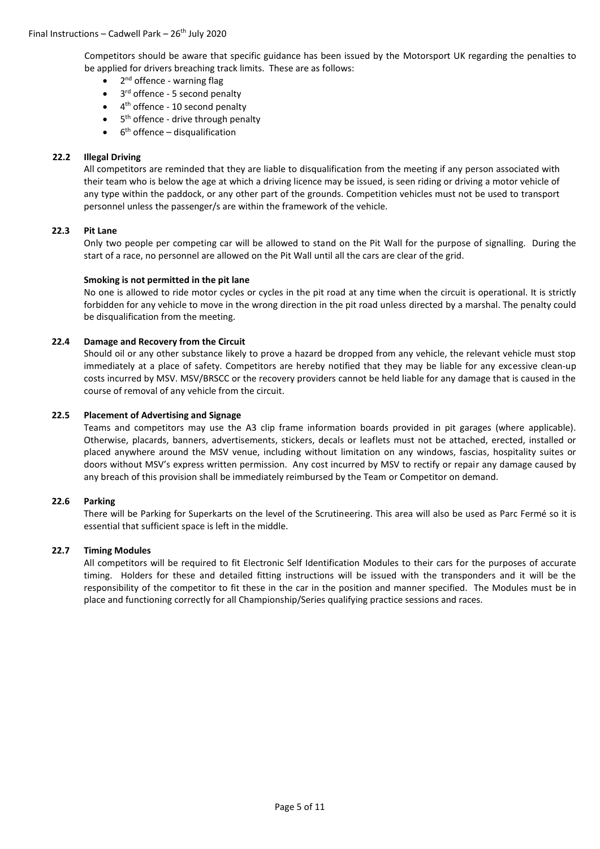Competitors should be aware that specific guidance has been issued by the Motorsport UK regarding the penalties to be applied for drivers breaching track limits. These are as follows:

- 2<sup>nd</sup> offence warning flag
- 3<sup>rd</sup> offence 5 second penalty
- 4<sup>th</sup> offence 10 second penalty
- 5<sup>th</sup> offence drive through penalty
- $\bullet$  6<sup>th</sup> offence disqualification

# **22.2 Illegal Driving**

All competitors are reminded that they are liable to disqualification from the meeting if any person associated with their team who is below the age at which a driving licence may be issued, is seen riding or driving a motor vehicle of any type within the paddock, or any other part of the grounds. Competition vehicles must not be used to transport personnel unless the passenger/s are within the framework of the vehicle.

# **22.3 Pit Lane**

Only two people per competing car will be allowed to stand on the Pit Wall for the purpose of signalling. During the start of a race, no personnel are allowed on the Pit Wall until all the cars are clear of the grid.

# **Smoking is not permitted in the pit lane**

No one is allowed to ride motor cycles or cycles in the pit road at any time when the circuit is operational. It is strictly forbidden for any vehicle to move in the wrong direction in the pit road unless directed by a marshal. The penalty could be disqualification from the meeting.

# **22.4 Damage and Recovery from the Circuit**

Should oil or any other substance likely to prove a hazard be dropped from any vehicle, the relevant vehicle must stop immediately at a place of safety. Competitors are hereby notified that they may be liable for any excessive clean-up costs incurred by MSV. MSV/BRSCC or the recovery providers cannot be held liable for any damage that is caused in the course of removal of any vehicle from the circuit.

# **22.5 Placement of Advertising and Signage**

Teams and competitors may use the A3 clip frame information boards provided in pit garages (where applicable). Otherwise, placards, banners, advertisements, stickers, decals or leaflets must not be attached, erected, installed or placed anywhere around the MSV venue, including without limitation on any windows, fascias, hospitality suites or doors without MSV's express written permission. Any cost incurred by MSV to rectify or repair any damage caused by any breach of this provision shall be immediately reimbursed by the Team or Competitor on demand.

# **22.6 Parking**

There will be Parking for Superkarts on the level of the Scrutineering. This area will also be used as Parc Fermé so it is essential that sufficient space is left in the middle.

# **22.7 Timing Modules**

All competitors will be required to fit Electronic Self Identification Modules to their cars for the purposes of accurate timing. Holders for these and detailed fitting instructions will be issued with the transponders and it will be the responsibility of the competitor to fit these in the car in the position and manner specified. The Modules must be in place and functioning correctly for all Championship/Series qualifying practice sessions and races.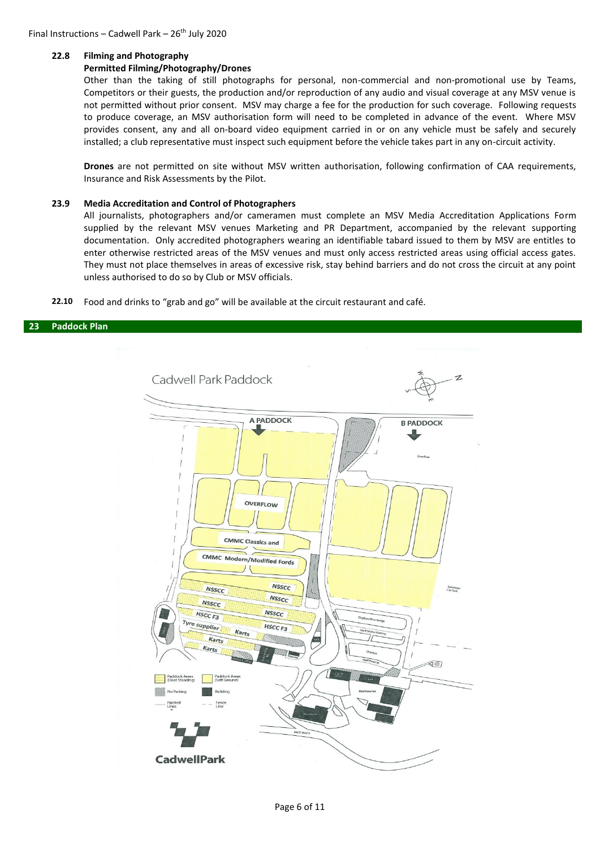#### **22.8 Filming and Photography**

#### **Permitted Filming/Photography/Drones**

Other than the taking of still photographs for personal, non-commercial and non-promotional use by Teams, Competitors or their guests, the production and/or reproduction of any audio and visual coverage at any MSV venue is not permitted without prior consent. MSV may charge a fee for the production for such coverage. Following requests to produce coverage, an MSV authorisation form will need to be completed in advance of the event. Where MSV provides consent, any and all on-board video equipment carried in or on any vehicle must be safely and securely installed; a club representative must inspect such equipment before the vehicle takes part in any on-circuit activity.

**Drones** are not permitted on site without MSV written authorisation, following confirmation of CAA requirements, Insurance and Risk Assessments by the Pilot.

#### **23.9 Media Accreditation and Control of Photographers**

All journalists, photographers and/or cameramen must complete an MSV Media Accreditation Applications Form supplied by the relevant MSV venues Marketing and PR Department, accompanied by the relevant supporting documentation. Only accredited photographers wearing an identifiable tabard issued to them by MSV are entitles to enter otherwise restricted areas of the MSV venues and must only access restricted areas using official access gates. They must not place themselves in areas of excessive risk, stay behind barriers and do not cross the circuit at any point unless authorised to do so by Club or MSV officials.

**22.10** Food and drinks to "grab and go" will be available at the circuit restaurant and café.

#### **23 Paddock Plan**

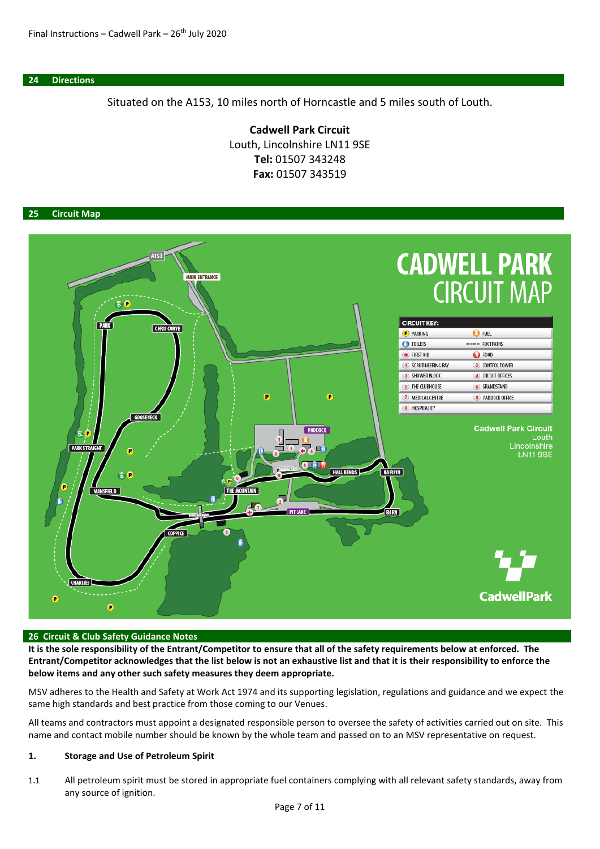**24 Directions**

Situated on the A153, 10 miles north of Horncastle and 5 miles south of Louth.

**Cadwell Park Circuit** Louth, Lincolnshire LN11 9SE **Tel:** 01507 343248 **Fax:** 01507 343519

# **25 Circuit Map**



#### **26 Circuit & Club Safety Guidance Notes**

**It is the sole responsibility of the Entrant/Competitor to ensure that all of the safety requirements below at enforced. The Entrant/Competitor acknowledges that the list below is not an exhaustive list and that it is their responsibility to enforce the below items and any other such safety measures they deem appropriate.**

MSV adheres to the Health and Safety at Work Act 1974 and its supporting legislation, regulations and guidance and we expect the same high standards and best practice from those coming to our Venues.

All teams and contractors must appoint a designated responsible person to oversee the safety of activities carried out on site. This name and contact mobile number should be known by the whole team and passed on to an MSV representative on request.

# **1. Storage and Use of Petroleum Spirit**

1.1 All petroleum spirit must be stored in appropriate fuel containers complying with all relevant safety standards, away from any source of ignition.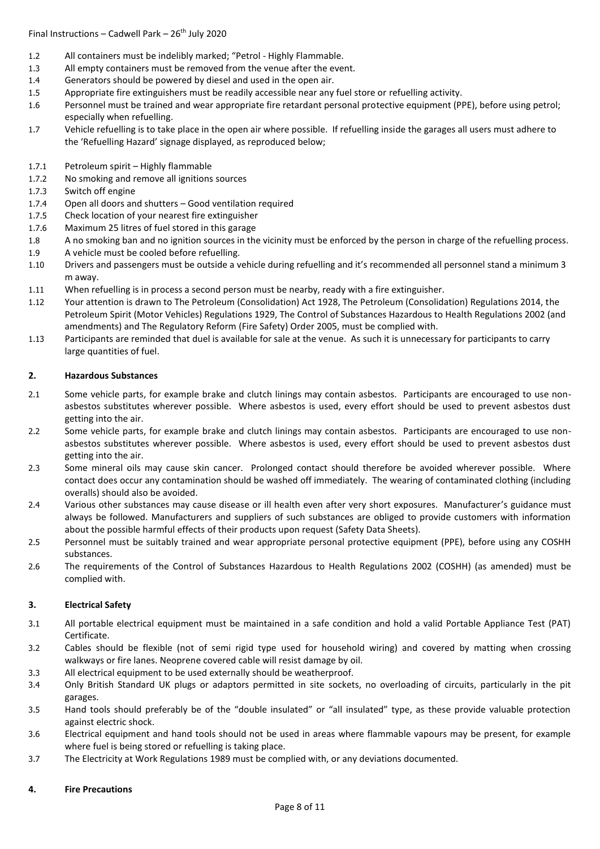# Final Instructions – Cadwell Park –  $26<sup>th</sup>$  July 2020

- 1.2 All containers must be indelibly marked; "Petrol Highly Flammable.
- 1.3 All empty containers must be removed from the venue after the event.
- 1.4 Generators should be powered by diesel and used in the open air.
- 1.5 Appropriate fire extinguishers must be readily accessible near any fuel store or refuelling activity.
- 1.6 Personnel must be trained and wear appropriate fire retardant personal protective equipment (PPE), before using petrol; especially when refuelling.
- 1.7 Vehicle refuelling is to take place in the open air where possible. If refuelling inside the garages all users must adhere to the 'Refuelling Hazard' signage displayed, as reproduced below;
- 1.7.1 Petroleum spirit Highly flammable
- 1.7.2 No smoking and remove all ignitions sources
- 1.7.3 Switch off engine
- 1.7.4 Open all doors and shutters Good ventilation required
- 1.7.5 Check location of your nearest fire extinguisher
- 1.7.6 Maximum 25 litres of fuel stored in this garage
- 1.8 A no smoking ban and no ignition sources in the vicinity must be enforced by the person in charge of the refuelling process. 1.9 A vehicle must be cooled before refuelling.
- 1.10 Drivers and passengers must be outside a vehicle during refuelling and it's recommended all personnel stand a minimum 3 m away.
- 1.11 When refuelling is in process a second person must be nearby, ready with a fire extinguisher.
- 1.12 Your attention is drawn to The Petroleum (Consolidation) Act 1928, The Petroleum (Consolidation) Regulations 2014, the Petroleum Spirit (Motor Vehicles) Regulations 1929, The Control of Substances Hazardous to Health Regulations 2002 (and amendments) and The Regulatory Reform (Fire Safety) Order 2005, must be complied with.
- 1.13 Participants are reminded that duel is available for sale at the venue. As such it is unnecessary for participants to carry large quantities of fuel.

# **2. Hazardous Substances**

- 2.1 Some vehicle parts, for example brake and clutch linings may contain asbestos. Participants are encouraged to use nonasbestos substitutes wherever possible. Where asbestos is used, every effort should be used to prevent asbestos dust getting into the air.
- 2.2 Some vehicle parts, for example brake and clutch linings may contain asbestos. Participants are encouraged to use nonasbestos substitutes wherever possible. Where asbestos is used, every effort should be used to prevent asbestos dust getting into the air.
- 2.3 Some mineral oils may cause skin cancer. Prolonged contact should therefore be avoided wherever possible. Where contact does occur any contamination should be washed off immediately. The wearing of contaminated clothing (including overalls) should also be avoided.
- 2.4 Various other substances may cause disease or ill health even after very short exposures. Manufacturer's guidance must always be followed. Manufacturers and suppliers of such substances are obliged to provide customers with information about the possible harmful effects of their products upon request (Safety Data Sheets).
- 2.5 Personnel must be suitably trained and wear appropriate personal protective equipment (PPE), before using any COSHH substances.
- 2.6 The requirements of the Control of Substances Hazardous to Health Regulations 2002 (COSHH) (as amended) must be complied with.

# **3. Electrical Safety**

- 3.1 All portable electrical equipment must be maintained in a safe condition and hold a valid Portable Appliance Test (PAT) Certificate.
- 3.2 Cables should be flexible (not of semi rigid type used for household wiring) and covered by matting when crossing walkways or fire lanes. Neoprene covered cable will resist damage by oil.
- 3.3 All electrical equipment to be used externally should be weatherproof.
- 3.4 Only British Standard UK plugs or adaptors permitted in site sockets, no overloading of circuits, particularly in the pit garages.
- 3.5 Hand tools should preferably be of the "double insulated" or "all insulated" type, as these provide valuable protection against electric shock.
- 3.6 Electrical equipment and hand tools should not be used in areas where flammable vapours may be present, for example where fuel is being stored or refuelling is taking place.
- 3.7 The Electricity at Work Regulations 1989 must be complied with, or any deviations documented.

# **4. Fire Precautions**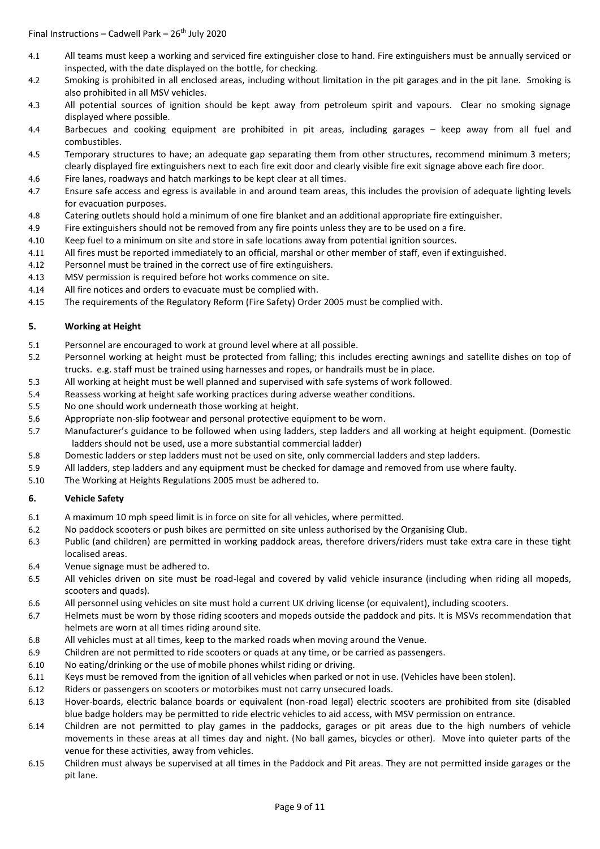- 4.1 All teams must keep a working and serviced fire extinguisher close to hand. Fire extinguishers must be annually serviced or inspected, with the date displayed on the bottle, for checking.
- 4.2 Smoking is prohibited in all enclosed areas, including without limitation in the pit garages and in the pit lane. Smoking is also prohibited in all MSV vehicles.
- 4.3 All potential sources of ignition should be kept away from petroleum spirit and vapours. Clear no smoking signage displayed where possible.
- 4.4 Barbecues and cooking equipment are prohibited in pit areas, including garages keep away from all fuel and combustibles.
- 4.5 Temporary structures to have; an adequate gap separating them from other structures, recommend minimum 3 meters; clearly displayed fire extinguishers next to each fire exit door and clearly visible fire exit signage above each fire door.
- 4.6 Fire lanes, roadways and hatch markings to be kept clear at all times.
- 4.7 Ensure safe access and egress is available in and around team areas, this includes the provision of adequate lighting levels for evacuation purposes.
- 4.8 Catering outlets should hold a minimum of one fire blanket and an additional appropriate fire extinguisher.
- 4.9 Fire extinguishers should not be removed from any fire points unless they are to be used on a fire.
- 4.10 Keep fuel to a minimum on site and store in safe locations away from potential ignition sources.
- 4.11 All fires must be reported immediately to an official, marshal or other member of staff, even if extinguished.
- 4.12 Personnel must be trained in the correct use of fire extinguishers.
- 4.13 MSV permission is required before hot works commence on site.
- 4.14 All fire notices and orders to evacuate must be complied with.
- 4.15 The requirements of the Regulatory Reform (Fire Safety) Order 2005 must be complied with.

# **5. Working at Height**

- 5.1 Personnel are encouraged to work at ground level where at all possible.
- 5.2 Personnel working at height must be protected from falling; this includes erecting awnings and satellite dishes on top of trucks. e.g. staff must be trained using harnesses and ropes, or handrails must be in place.
- 5.3 All working at height must be well planned and supervised with safe systems of work followed.
- 5.4 Reassess working at height safe working practices during adverse weather conditions.
- 5.5 No one should work underneath those working at height.
- 5.6 Appropriate non-slip footwear and personal protective equipment to be worn.
- 5.7 Manufacturer's guidance to be followed when using ladders, step ladders and all working at height equipment. (Domestic ladders should not be used, use a more substantial commercial ladder)
- 5.8 Domestic ladders or step ladders must not be used on site, only commercial ladders and step ladders.
- 5.9 All ladders, step ladders and any equipment must be checked for damage and removed from use where faulty.
- 5.10 The Working at Heights Regulations 2005 must be adhered to.

# **6. Vehicle Safety**

- 6.1 A maximum 10 mph speed limit is in force on site for all vehicles, where permitted.
- 6.2 No paddock scooters or push bikes are permitted on site unless authorised by the Organising Club.
- 6.3 Public (and children) are permitted in working paddock areas, therefore drivers/riders must take extra care in these tight localised areas.
- 6.4 Venue signage must be adhered to.
- 6.5 All vehicles driven on site must be road-legal and covered by valid vehicle insurance (including when riding all mopeds, scooters and quads).
- 6.6 All personnel using vehicles on site must hold a current UK driving license (or equivalent), including scooters.
- 6.7 Helmets must be worn by those riding scooters and mopeds outside the paddock and pits. It is MSVs recommendation that helmets are worn at all times riding around site.
- 6.8 All vehicles must at all times, keep to the marked roads when moving around the Venue.
- 6.9 Children are not permitted to ride scooters or quads at any time, or be carried as passengers.
- 6.10 No eating/drinking or the use of mobile phones whilst riding or driving.
- 6.11 Keys must be removed from the ignition of all vehicles when parked or not in use. (Vehicles have been stolen).
- 6.12 Riders or passengers on scooters or motorbikes must not carry unsecured loads.
- 6.13 Hover-boards, electric balance boards or equivalent (non-road legal) electric scooters are prohibited from site (disabled blue badge holders may be permitted to ride electric vehicles to aid access, with MSV permission on entrance.
- 6.14 Children are not permitted to play games in the paddocks, garages or pit areas due to the high numbers of vehicle movements in these areas at all times day and night. (No ball games, bicycles or other). Move into quieter parts of the venue for these activities, away from vehicles.
- 6.15 Children must always be supervised at all times in the Paddock and Pit areas. They are not permitted inside garages or the pit lane.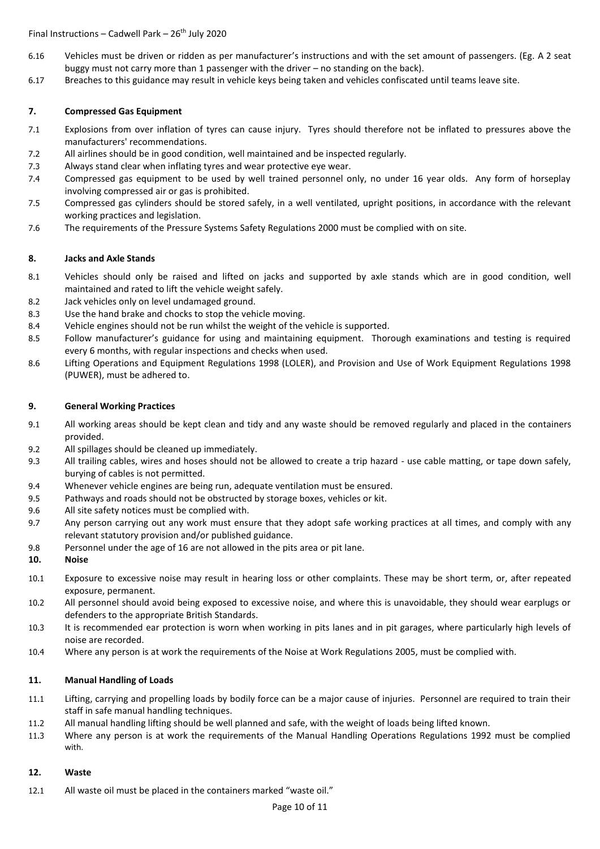Final Instructions – Cadwell Park –  $26<sup>th</sup>$  July 2020

- 6.16 Vehicles must be driven or ridden as per manufacturer's instructions and with the set amount of passengers. (Eg. A 2 seat buggy must not carry more than 1 passenger with the driver – no standing on the back).
- 6.17 Breaches to this guidance may result in vehicle keys being taken and vehicles confiscated until teams leave site.

# **7. Compressed Gas Equipment**

- 7.1 Explosions from over inflation of tyres can cause injury. Tyres should therefore not be inflated to pressures above the manufacturers' recommendations.
- 7.2 All airlines should be in good condition, well maintained and be inspected regularly.
- 7.3 Always stand clear when inflating tyres and wear protective eye wear.
- 7.4 Compressed gas equipment to be used by well trained personnel only, no under 16 year olds. Any form of horseplay involving compressed air or gas is prohibited.
- 7.5 Compressed gas cylinders should be stored safely, in a well ventilated, upright positions, in accordance with the relevant working practices and legislation.
- 7.6 The requirements of the Pressure Systems Safety Regulations 2000 must be complied with on site.

# **8. Jacks and Axle Stands**

- 8.1 Vehicles should only be raised and lifted on jacks and supported by axle stands which are in good condition, well maintained and rated to lift the vehicle weight safely.
- 8.2 Jack vehicles only on level undamaged ground.
- 8.3 Use the hand brake and chocks to stop the vehicle moving.
- 8.4 Vehicle engines should not be run whilst the weight of the vehicle is supported.
- 8.5 Follow manufacturer's guidance for using and maintaining equipment. Thorough examinations and testing is required every 6 months, with regular inspections and checks when used.
- 8.6 Lifting Operations and Equipment Regulations 1998 (LOLER), and Provision and Use of Work Equipment Regulations 1998 (PUWER), must be adhered to.

# **9. General Working Practices**

- 9.1 All working areas should be kept clean and tidy and any waste should be removed regularly and placed in the containers provided.
- 9.2 All spillages should be cleaned up immediately.
- 9.3 All trailing cables, wires and hoses should not be allowed to create a trip hazard use cable matting, or tape down safely, burying of cables is not permitted.
- 9.4 Whenever vehicle engines are being run, adequate ventilation must be ensured.
- 9.5 Pathways and roads should not be obstructed by storage boxes, vehicles or kit.
- 9.6 All site safety notices must be complied with.
- 9.7 Any person carrying out any work must ensure that they adopt safe working practices at all times, and comply with any relevant statutory provision and/or published guidance.
- 9.8 Personnel under the age of 16 are not allowed in the pits area or pit lane.

# **10. Noise**

- 10.1 Exposure to excessive noise may result in hearing loss or other complaints. These may be short term, or, after repeated exposure, permanent.
- 10.2 All personnel should avoid being exposed to excessive noise, and where this is unavoidable, they should wear earplugs or defenders to the appropriate British Standards.
- 10.3 It is recommended ear protection is worn when working in pits lanes and in pit garages, where particularly high levels of noise are recorded.
- 10.4 Where any person is at work the requirements of the Noise at Work Regulations 2005, must be complied with.

# **11. Manual Handling of Loads**

- 11.1 Lifting, carrying and propelling loads by bodily force can be a major cause of injuries. Personnel are required to train their staff in safe manual handling techniques.
- 11.2 All manual handling lifting should be well planned and safe, with the weight of loads being lifted known.
- 11.3 Where any person is at work the requirements of the Manual Handling Operations Regulations 1992 must be complied with.

# **12. Waste**

12.1 All waste oil must be placed in the containers marked "waste oil."